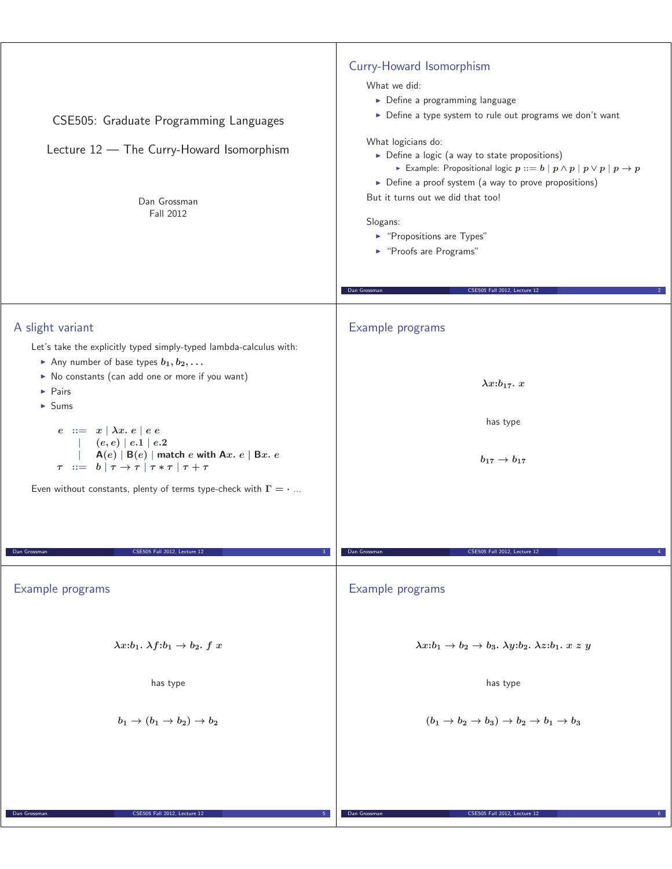| CSE505: Graduate Programming Languages<br>Lecture 12 - The Curry-Howard Isomorphism<br>Dan Grossman<br>Fall 2012                                                                                                                                                                                                                                                                                                                                                                                                                                                        | Curry-Howard Isomorphism<br>What we did:<br>$\triangleright$ Define a programming language<br>Define a type system to rule out programs we don't want<br>What logicians do:<br>▶ Define a logic (a way to state propositions)<br>Example: Propositional logic $p ::= b   p \wedge p   p \vee p   p \rightarrow p$<br>> Define a proof system (a way to prove propositions)<br>But it turns out we did that too!<br>Slogans:<br>▶ "Propositions are Types"<br>▶ "Proofs are Programs"<br>CSE505 Fall 2012, Lecture 12<br>Dan Grossman |
|-------------------------------------------------------------------------------------------------------------------------------------------------------------------------------------------------------------------------------------------------------------------------------------------------------------------------------------------------------------------------------------------------------------------------------------------------------------------------------------------------------------------------------------------------------------------------|--------------------------------------------------------------------------------------------------------------------------------------------------------------------------------------------------------------------------------------------------------------------------------------------------------------------------------------------------------------------------------------------------------------------------------------------------------------------------------------------------------------------------------------|
|                                                                                                                                                                                                                                                                                                                                                                                                                                                                                                                                                                         |                                                                                                                                                                                                                                                                                                                                                                                                                                                                                                                                      |
| A slight variant<br>Let's take the explicitly typed simply-typed lambda-calculus with:<br>Any number of base types $b_1, b_2, \ldots$<br>No constants (can add one or more if you want)<br>$\blacktriangleright$ Pairs<br>$\blacktriangleright$ Sums<br>$e ::= x   \lambda x. e   e e$<br>(e,e)   e.1   e.2<br>$A(e)   B(e)  $ match e with Ax. $e   Bx. e$<br>$\tau$ ::= $b \mid \tau \rightarrow \tau \mid \tau * \tau \mid \tau + \tau$<br>Even without constants, plenty of terms type-check with $\Gamma = \cdot $<br>Dan Grossman<br>CSE505 Fall 2012, Lecture 12 | Example programs<br>$\lambda x : b_{17}.x$<br>has type<br>$b_{17} \to b_{17}$<br>CSE505 Fall 2012, Lecture 12<br>Dan Grossman                                                                                                                                                                                                                                                                                                                                                                                                        |
| Example programs                                                                                                                                                                                                                                                                                                                                                                                                                                                                                                                                                        |                                                                                                                                                                                                                                                                                                                                                                                                                                                                                                                                      |
|                                                                                                                                                                                                                                                                                                                                                                                                                                                                                                                                                                         | Example programs                                                                                                                                                                                                                                                                                                                                                                                                                                                                                                                     |
| $\lambda x:b_1$ . $\lambda f:b_1 \rightarrow b_2$ . f x                                                                                                                                                                                                                                                                                                                                                                                                                                                                                                                 | $\lambda x:b_1 \rightarrow b_2 \rightarrow b_3$ . $\lambda y:b_2$ . $\lambda z:b_1$ . $x \approx y$                                                                                                                                                                                                                                                                                                                                                                                                                                  |
| has type                                                                                                                                                                                                                                                                                                                                                                                                                                                                                                                                                                | has type                                                                                                                                                                                                                                                                                                                                                                                                                                                                                                                             |
| $b_1 \rightarrow (b_1 \rightarrow b_2) \rightarrow b_2$                                                                                                                                                                                                                                                                                                                                                                                                                                                                                                                 | $(b_1 \rightarrow b_2 \rightarrow b_3) \rightarrow b_2 \rightarrow b_1 \rightarrow b_3$                                                                                                                                                                                                                                                                                                                                                                                                                                              |
| Dan Grossman<br>CSE505 Fall 2012, Lecture 12                                                                                                                                                                                                                                                                                                                                                                                                                                                                                                                            | Dan Grossman<br>CSE505 Fall 2012, Lecture 12                                                                                                                                                                                                                                                                                                                                                                                                                                                                                         |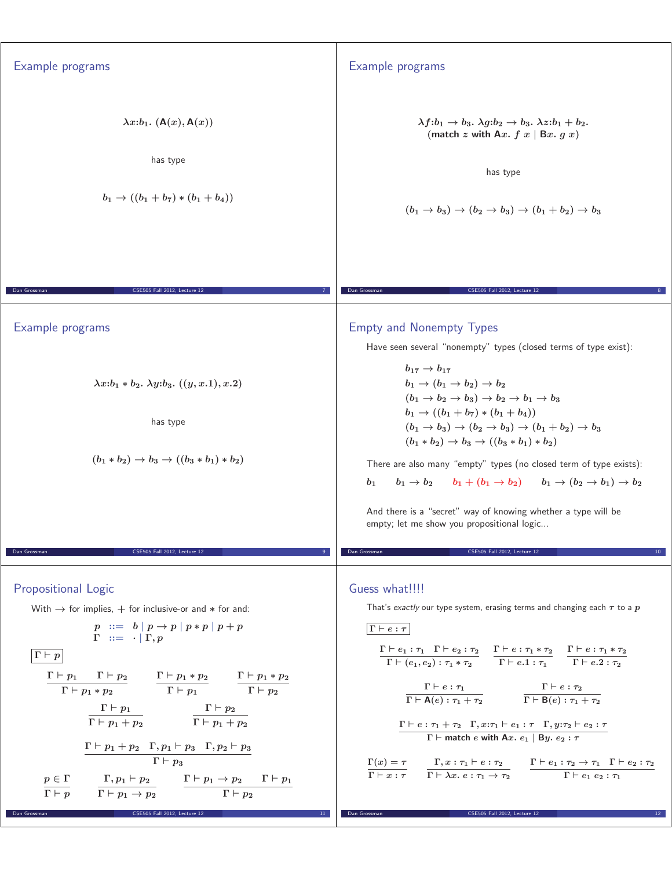| Example programs                                                                                                                                                                                                                                                                                                                                                                                                                                                                                                                                                                                                                                                                                                                                                                                                                                                                                                                                                                                                                                                      | Example programs                                                                                                                                                                                                                                                                                                                                                                                                                                                                                                                                                                                                                                                                                                                                                                                                                                                                                                                                                                                                                                                                                                       |
|-----------------------------------------------------------------------------------------------------------------------------------------------------------------------------------------------------------------------------------------------------------------------------------------------------------------------------------------------------------------------------------------------------------------------------------------------------------------------------------------------------------------------------------------------------------------------------------------------------------------------------------------------------------------------------------------------------------------------------------------------------------------------------------------------------------------------------------------------------------------------------------------------------------------------------------------------------------------------------------------------------------------------------------------------------------------------|------------------------------------------------------------------------------------------------------------------------------------------------------------------------------------------------------------------------------------------------------------------------------------------------------------------------------------------------------------------------------------------------------------------------------------------------------------------------------------------------------------------------------------------------------------------------------------------------------------------------------------------------------------------------------------------------------------------------------------------------------------------------------------------------------------------------------------------------------------------------------------------------------------------------------------------------------------------------------------------------------------------------------------------------------------------------------------------------------------------------|
| $\lambda x:b_1.$ $(A(x), A(x))$<br>has type<br>$b_1 \rightarrow ((b_1 + b_7) * (b_1 + b_4))$                                                                                                                                                                                                                                                                                                                                                                                                                                                                                                                                                                                                                                                                                                                                                                                                                                                                                                                                                                          | $\lambda f:b_1 \rightarrow b_3$ . $\lambda g:b_2 \rightarrow b_3$ . $\lambda z:b_1 + b_2$ .<br>(match z with Ax. $f(x   Bx. g x)$ )<br>has type<br>$(b_1 \rightarrow b_3) \rightarrow (b_2 \rightarrow b_3) \rightarrow (b_1 + b_2) \rightarrow b_3$                                                                                                                                                                                                                                                                                                                                                                                                                                                                                                                                                                                                                                                                                                                                                                                                                                                                   |
|                                                                                                                                                                                                                                                                                                                                                                                                                                                                                                                                                                                                                                                                                                                                                                                                                                                                                                                                                                                                                                                                       |                                                                                                                                                                                                                                                                                                                                                                                                                                                                                                                                                                                                                                                                                                                                                                                                                                                                                                                                                                                                                                                                                                                        |
| Dan Grossman<br>CSE505 Fall 2012, Lecture 12                                                                                                                                                                                                                                                                                                                                                                                                                                                                                                                                                                                                                                                                                                                                                                                                                                                                                                                                                                                                                          | Dan Grossman<br>CSE505 Fall 2012, Lecture 12                                                                                                                                                                                                                                                                                                                                                                                                                                                                                                                                                                                                                                                                                                                                                                                                                                                                                                                                                                                                                                                                           |
| Example programs                                                                                                                                                                                                                                                                                                                                                                                                                                                                                                                                                                                                                                                                                                                                                                                                                                                                                                                                                                                                                                                      | <b>Empty and Nonempty Types</b><br>Have seen several "nonempty" types (closed terms of type exist):<br>$b_{17} \to b_{17}$                                                                                                                                                                                                                                                                                                                                                                                                                                                                                                                                                                                                                                                                                                                                                                                                                                                                                                                                                                                             |
| $\lambda x : b_1 * b_2$ . $\lambda y : b_3$ . $((y, x.1), x.2)$                                                                                                                                                                                                                                                                                                                                                                                                                                                                                                                                                                                                                                                                                                                                                                                                                                                                                                                                                                                                       | $b_1 \rightarrow (b_1 \rightarrow b_2) \rightarrow b_2$<br>$(b_1 \rightarrow b_2 \rightarrow b_3) \rightarrow b_2 \rightarrow b_1 \rightarrow b_3$                                                                                                                                                                                                                                                                                                                                                                                                                                                                                                                                                                                                                                                                                                                                                                                                                                                                                                                                                                     |
| has type                                                                                                                                                                                                                                                                                                                                                                                                                                                                                                                                                                                                                                                                                                                                                                                                                                                                                                                                                                                                                                                              | $b_1 \rightarrow ((b_1 + b_7) * (b_1 + b_4))$<br>$(b_1 \to b_3) \to (b_2 \to b_3) \to (b_1 + b_2) \to b_3$                                                                                                                                                                                                                                                                                                                                                                                                                                                                                                                                                                                                                                                                                                                                                                                                                                                                                                                                                                                                             |
| $(b_1 * b_2) \rightarrow b_3 \rightarrow ((b_3 * b_1) * b_2)$                                                                                                                                                                                                                                                                                                                                                                                                                                                                                                                                                                                                                                                                                                                                                                                                                                                                                                                                                                                                         | $(b_1 * b_2) \rightarrow b_3 \rightarrow ((b_3 * b_1) * b_2)$<br>There are also many "empty" types (no closed term of type exists):<br>$b_1 \to b_2$ $b_1 + (b_1 \to b_2)$ $b_1 \to (b_2 \to b_1) \to b_2$<br>$b_{1}$<br>And there is a "secret" way of knowing whether a type will be<br>empty; let me show you propositional logic                                                                                                                                                                                                                                                                                                                                                                                                                                                                                                                                                                                                                                                                                                                                                                                   |
| Dan Grossman<br>CSE505 Fall 2012, Lecture 12                                                                                                                                                                                                                                                                                                                                                                                                                                                                                                                                                                                                                                                                                                                                                                                                                                                                                                                                                                                                                          | Dan Grossman<br><b>CSE505 Fall 2012. Lecture 12</b>                                                                                                                                                                                                                                                                                                                                                                                                                                                                                                                                                                                                                                                                                                                                                                                                                                                                                                                                                                                                                                                                    |
| <b>Propositional Logic</b><br>With $\rightarrow$ for implies, $+$ for inclusive-or and $*$ for and:<br>$p ::= b   p \rightarrow p   p * p   p + p$<br>$\Gamma$ ::= $\cdot   \Gamma, p$<br>$\lceil \overline{\Gamma} \vdash p \rceil$<br>$\begin{array}{ccc} \Gamma\vdash p_1&\Gamma\vdash p_2\\ \hline \Gamma\vdash p_1*p_2 \end{array}\qquad \begin{array}{c} \Gamma\vdash p_1*p_2\\ \hline \Gamma\vdash p_1 \end{array}\qquad \begin{array}{c} \Gamma\vdash p_1*p_2\\ \hline \Gamma\vdash p_2 \end{array}$<br>$\label{eq:2.1} \begin{array}{ll} \Gamma \vdash p_1 \\ \hline \Gamma \vdash p_1 + p_2 \end{array} \qquad \qquad \begin{array}{ll} \Gamma \vdash p_2 \\ \hline \Gamma \vdash p_1 + p_2 \end{array}$<br>$\Gamma\vdash p_1+p_2\quad \Gamma, p_1\vdash p_3\quad \Gamma, p_2\vdash p_3$<br>$\Gamma \vdash p_3$<br>$\frac{p\in\Gamma}{\Gamma\vdash p}\qquad\frac{\Gamma, p_1\vdash p_2}{\Gamma\vdash p_1\to p_2}\qquad\frac{\Gamma\vdash p_1\to p_2\qquad \Gamma\vdash p_1}{\Gamma\vdash p_2}$<br>Dan Grossman<br>CSE505 Fall 2012, Lecture 12<br>$11$ $\,$ | Guess what !!!!<br>That's exactly our type system, erasing terms and changing each $\tau$ to a $p$<br>$\Gamma\vdash e:\tau$<br>$\frac{\Gamma\vdash e_1:\tau_1\quad \Gamma\vdash e_2:\tau_2}{\Gamma\vdash (e_1,e_2):\tau_1*\tau_2} \quad\frac{\Gamma\vdash e:\tau_1*\tau_2}{\Gamma\vdash e.1:\tau_1} \quad\frac{\Gamma\vdash e:\tau_1*\tau_2}{\Gamma\vdash e.2:\tau_2}$<br>$\cfrac{\Gamma\vdash e:\tau_1}{\Gamma\vdash \mathsf{A}(e):\tau_1+\tau_2} \qquad \cfrac{\Gamma\vdash e:\tau_2}{\Gamma\vdash \mathsf{B}(e):\tau_1+\tau_2}$<br>$\Gamma \vdash e : \tau_1 + \tau_2 \quad \Gamma, x : \tau_1 \vdash e_1 : \tau \quad \Gamma, y : \tau_2 \vdash e_2 : \tau$<br>$\Gamma \vdash$ match e with Ax. $e_1 \mid By. e_2 : \tau$<br>$\frac{\Gamma(x)=\tau}{\Gamma\vdash x:\tau} \quad\begin{array}{l} \Gamma,x:\tau_1\vdash e:\tau_2 \\ \overline{\Gamma\vdash \lambda x.\ e:\tau_1\rightarrow \tau_2} \end{array} \quad\begin{array}{l} \Gamma\vdash e_1:\tau_2\rightarrow \tau_1 \quad \Gamma\vdash e_2:\tau_2 \\ \overline{\Gamma\vdash e_1\: e_2:\tau_1} \end{array}$<br>CSE505 Fall 2012, Lecture 12<br>Dan Grossman |
|                                                                                                                                                                                                                                                                                                                                                                                                                                                                                                                                                                                                                                                                                                                                                                                                                                                                                                                                                                                                                                                                       |                                                                                                                                                                                                                                                                                                                                                                                                                                                                                                                                                                                                                                                                                                                                                                                                                                                                                                                                                                                                                                                                                                                        |
|                                                                                                                                                                                                                                                                                                                                                                                                                                                                                                                                                                                                                                                                                                                                                                                                                                                                                                                                                                                                                                                                       |                                                                                                                                                                                                                                                                                                                                                                                                                                                                                                                                                                                                                                                                                                                                                                                                                                                                                                                                                                                                                                                                                                                        |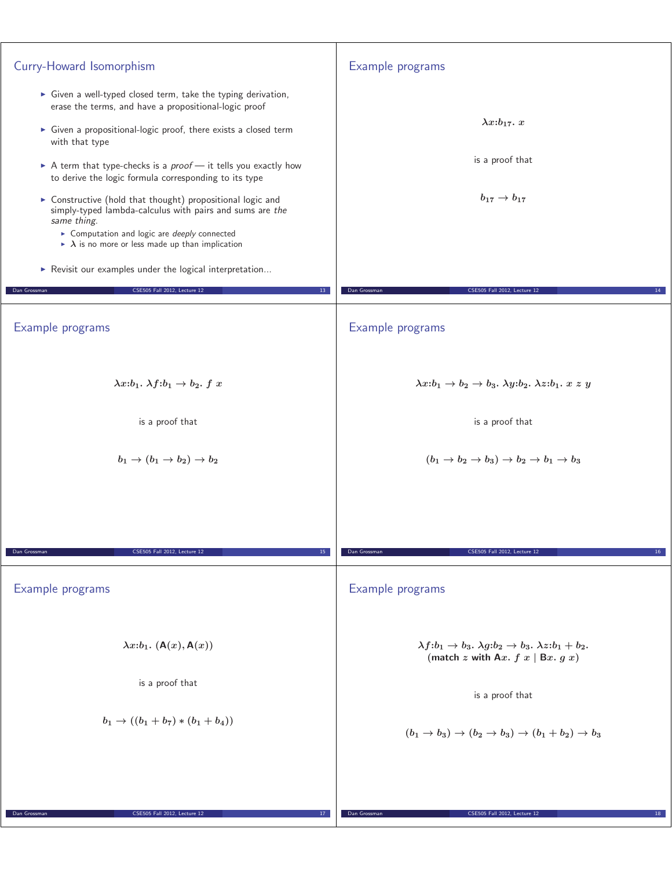| Curry-Howard Isomorphism                                                                                                                                                                                                                                                                                                                                                                                                                                                                                                                                                                                                                                                                                                          | Example programs                                                                                                                   |
|-----------------------------------------------------------------------------------------------------------------------------------------------------------------------------------------------------------------------------------------------------------------------------------------------------------------------------------------------------------------------------------------------------------------------------------------------------------------------------------------------------------------------------------------------------------------------------------------------------------------------------------------------------------------------------------------------------------------------------------|------------------------------------------------------------------------------------------------------------------------------------|
| • Given a well-typed closed term, take the typing derivation,<br>erase the terms, and have a propositional-logic proof<br>• Given a propositional-logic proof, there exists a closed term<br>with that type<br>A term that type-checks is a $proof$ — it tells you exactly how<br>to derive the logic formula corresponding to its type<br>> Constructive (hold that thought) propositional logic and<br>simply-typed lambda-calculus with pairs and sums are the<br>same thing.<br>Computation and logic are <i>deeply</i> connected<br>$\triangleright$ $\lambda$ is no more or less made up than implication<br>Revisit our examples under the logical interpretation<br>CSE505 Fall 2012, Lecture 12<br>Dan Grossman<br>$13-$ | $\lambda x : b_{17}.x$<br>is a proof that<br>$b_{17} \rightarrow b_{17}$<br>Dan Grossman<br>CSE505 Fall 2012, Lecture 12           |
|                                                                                                                                                                                                                                                                                                                                                                                                                                                                                                                                                                                                                                                                                                                                   |                                                                                                                                    |
| Example programs                                                                                                                                                                                                                                                                                                                                                                                                                                                                                                                                                                                                                                                                                                                  | Example programs                                                                                                                   |
| $\lambda x:b_1. \lambda f:b_1 \rightarrow b_2. f x$                                                                                                                                                                                                                                                                                                                                                                                                                                                                                                                                                                                                                                                                               | $\lambda x:b_1 \rightarrow b_2 \rightarrow b_3$ . $\lambda y:b_2$ . $\lambda z:b_1$ . $x \ z \ y$                                  |
| is a proof that                                                                                                                                                                                                                                                                                                                                                                                                                                                                                                                                                                                                                                                                                                                   | is a proof that                                                                                                                    |
| $b_1 \rightarrow (b_1 \rightarrow b_2) \rightarrow b_2$                                                                                                                                                                                                                                                                                                                                                                                                                                                                                                                                                                                                                                                                           | $(b_1 \rightarrow b_2 \rightarrow b_3) \rightarrow b_2 \rightarrow b_1 \rightarrow b_3$                                            |
|                                                                                                                                                                                                                                                                                                                                                                                                                                                                                                                                                                                                                                                                                                                                   |                                                                                                                                    |
| Dan Grossman<br>CSE505 Fall 2012, Lecture 12<br>15                                                                                                                                                                                                                                                                                                                                                                                                                                                                                                                                                                                                                                                                                | Dan Grossman<br>CSE505 Fall 2012, Lecture 12<br>16                                                                                 |
| Example programs                                                                                                                                                                                                                                                                                                                                                                                                                                                                                                                                                                                                                                                                                                                  | Example programs                                                                                                                   |
| $\lambda x : b_1$ . $(A(x), A(x))$                                                                                                                                                                                                                                                                                                                                                                                                                                                                                                                                                                                                                                                                                                | $\lambda f:b_1 \rightarrow b_3$ . $\lambda g:b_2 \rightarrow b_3$ . $\lambda z:b_1 + b_2$ .<br>(match z with Ax. $f(x   Bx, g(x))$ |
| is a proof that                                                                                                                                                                                                                                                                                                                                                                                                                                                                                                                                                                                                                                                                                                                   | is a proof that                                                                                                                    |
| $b_1 \rightarrow ((b_1 + b_7) * (b_1 + b_4))$                                                                                                                                                                                                                                                                                                                                                                                                                                                                                                                                                                                                                                                                                     | $(b_1 \rightarrow b_3) \rightarrow (b_2 \rightarrow b_3) \rightarrow (b_1 + b_2) \rightarrow b_3$                                  |
|                                                                                                                                                                                                                                                                                                                                                                                                                                                                                                                                                                                                                                                                                                                                   |                                                                                                                                    |
| CSE505 Fall 2012, Lecture 12<br>Dan Grossman<br>17 <sub>1</sub>                                                                                                                                                                                                                                                                                                                                                                                                                                                                                                                                                                                                                                                                   | Dan Grossman<br>CSE505 Fall 2012, Lecture 12<br>18                                                                                 |